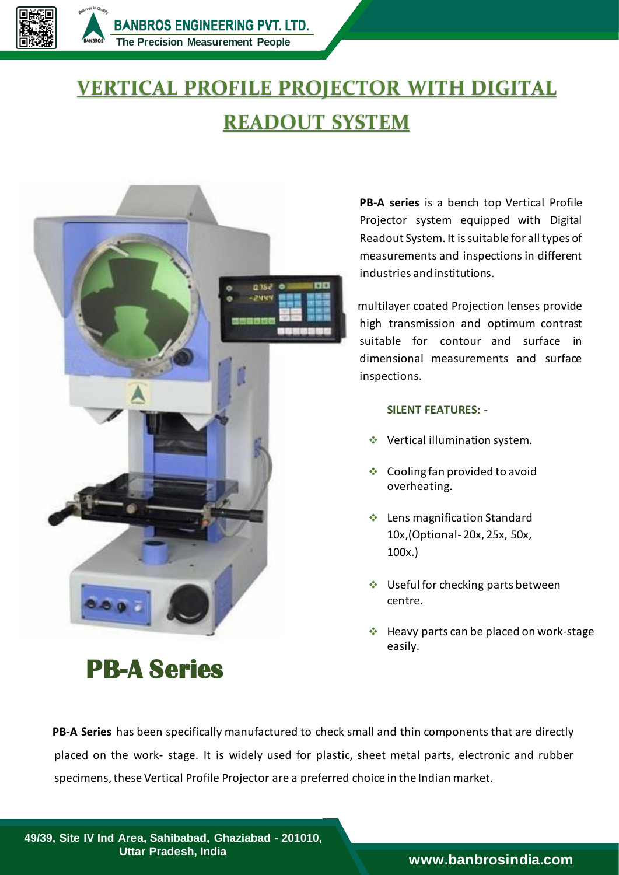

## **VERTICAL PROFILE PROJECTOR WITH DIGITAL READOUT SYSTEM**



**PB-A Series** 

**PB-A series** is a bench top Vertical Profile Projector system equipped with Digital Readout System. It is suitable for all types of measurements and inspections in different industries and institutions.

multilayer coated Projection lenses provide high transmission and optimum contrast suitable for contour and surface in dimensional measurements and surface inspections.

## **SILENT FEATURES: -**

- ❖ Vertical illumination system.
- ❖ Cooling fan provided to avoid overheating.
- Lens magnification Standard 10x,(Optional- 20x, 25x, 50x, 100x.)
- ❖ Useful for checking parts between centre.
- $\triangleq$  Heavy parts can be placed on work-stage easily.

 **PB-A Series** has been specifically manufactured to check small and thin components that are directly placed on the work- stage. It is widely used for plastic, sheet metal parts, electronic and rubber specimens, these Vertical Profile Projector are a preferred choice in the Indian market.

**49/39, Site IV Ind Area, Sahibabad, Ghaziabad - 201010, Uttar Pradesh, India [www.banbrosindia.com](https://banbrosindia.com/index.php)**